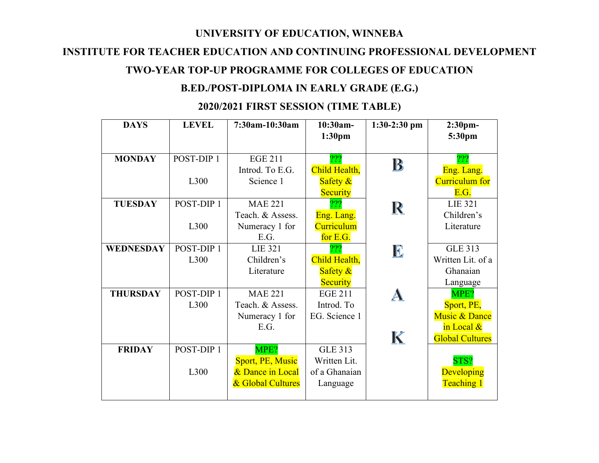#### **UNIVERSITY OF EDUCATION, WINNEBA**

### **INSTITUTE FOR TEACHER EDUCATION AND CONTINUING PROFESSIONAL DEVELOPMENT**

## **TWO-YEAR TOP-UP PROGRAMME FOR COLLEGES OF EDUCATION**

# **B.ED./POST-DIPLOMA IN EARLY GRADE (E.G.)**

#### **DAYS LEVEL 7:30am-10:30am 10:30am-1:30-2:30 pm 2:30pm-1:30pm 5:30pm MONDAY** POST-DIP 1 EGE 211 ??? ??? B Introd. To E.G. Child Health, Eng. Lang. Curriculum for L300 Science 1 Safety & E.G. **Security** ??? **TUESDAY** POST-DIP 1 MAE 221 LIE 321  $\mathbf R$ Eng. Lang. Children's Teach. & Assess. L300 Numeracy 1 for **Curriculum Literature** E.G. for E.G. WEDNESDAY | POST-DIP 1 ??? GLE 313 LIE 321  $\mathbf{E}$ Child Health, Written Lit. of a L300 Children's Ghanaian Safety & Literature **Security** Language **THURSDAY** POST-DIP 1 MAE 221 EGE 211 MPE? A L300 Teach. & Assess. Introd. To Sport, PE, Numeracy 1 for EG. Science 1 Music & Dance E.G. in Local & K Global Cultures **FRIDAY** POST-DIP 1 MPE? GLE 313 Sport, PE, Music Written Lit. STS? L300 & Dance in Local of a Ghanaian **Developing** & Global Cultures Teaching 1 Language

# **2020/2021 FIRST SESSION (TIME TABLE)**